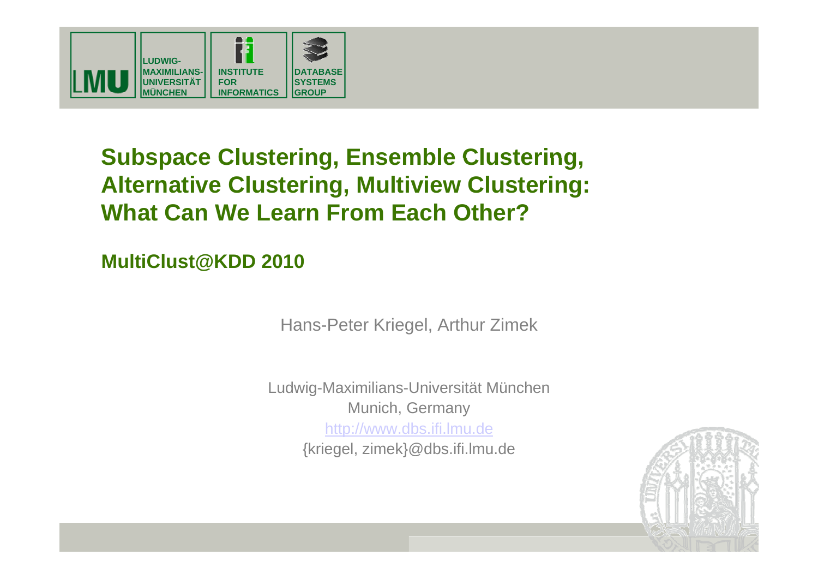

## **Subspace Clustering, Ensemble Clustering, Alternative Clustering, Multiview Clustering: What Can We Learn From Each Other?**

**MultiClust@KDD 2010**

Hans-Peter Kriegel, Arthur Zimek

Ludwig-Maximilians-Universität München Munich, Germany http://www.dbs.ifi.lmu.de {kriegel, zimek}@dbs.ifi.lmu.de

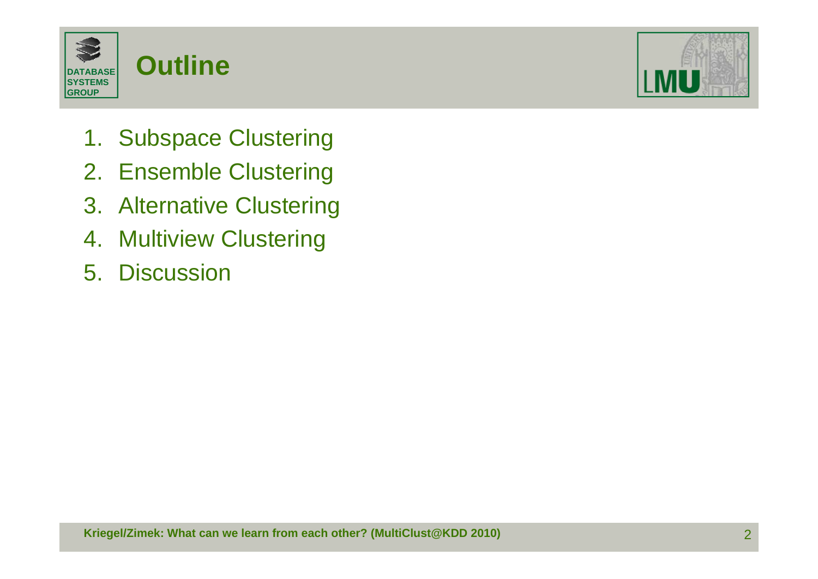



- 1. Subspace Clustering
- 2. Ensemble Clustering
- 3. Alternative Clustering
- 4. Multiview Clustering
- 5. Discussion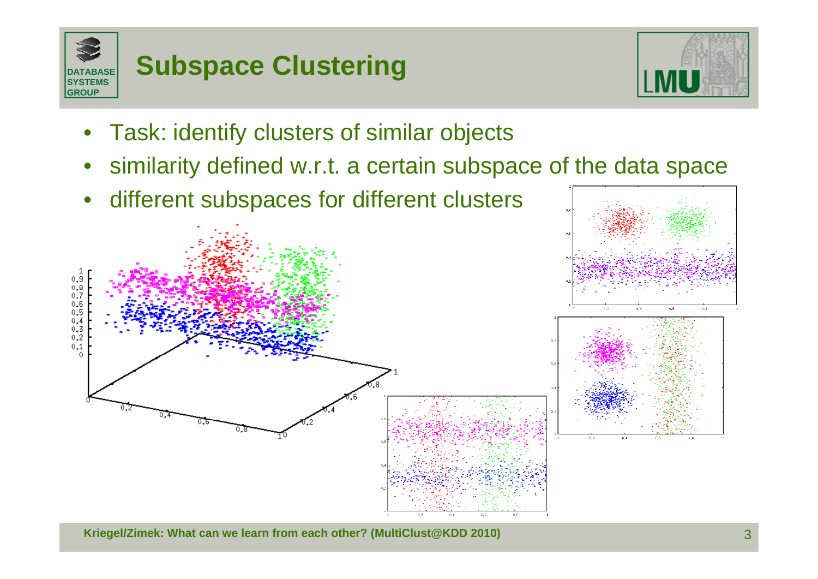



- •Task: identify clusters of similar objects
- •similarity defined w.r.t. a certain subspace of the data space
- •different subspaces for different clusters



**Kriegel/Zimek: What can we learn from each other? (MultiClust@KDD 2010)** 3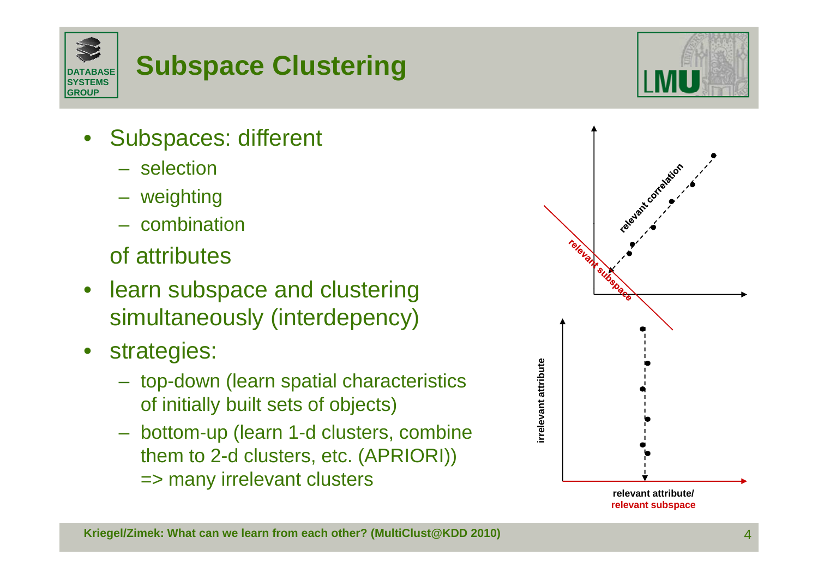

## **Subspace Clustering**

- • Subspaces: different
	- selection
	- weighting
	- combination

of attributes

- learn subspace and clustering simultaneously (interdepency)
- • strategies:
	- top-down (learn spatial characteristics of initially built sets of objects)
	- bottom-up (learn 1-d clusters, combine them to 2-d clusters, etc. (APRIORI)) => many irrelevant clusters



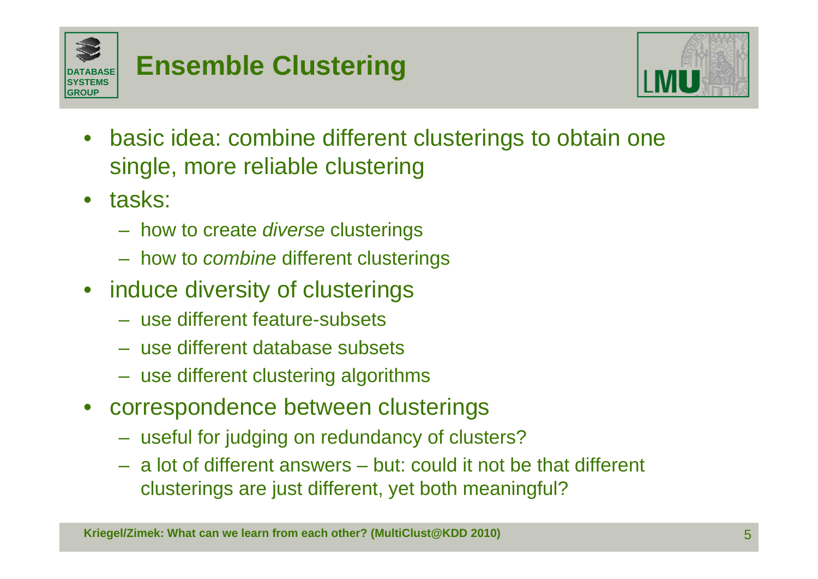



- • basic idea: combine different clusterings to obtain one single, more reliable clustering
- $\bullet$  tasks:
	- $-$  how to create *diverse* clusterings
	- how to *combine* different clusterings
- induce diversity of clusterings
	- use different feature-subsets
	- use different database subsets
	- use different clustering algorithms
- • correspondence between clusterings
	- useful for judging on redundancy of clusters?
	- a lot of different answers but: could it not be that different clusterings are just different, yet both meaningful?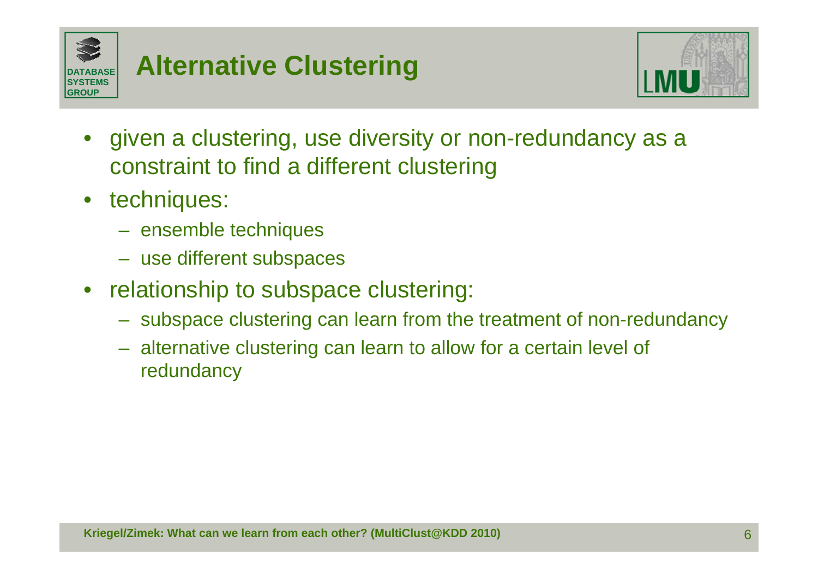

## **Alternative Clustering**



- • given a clustering, use diversity or non-redundancy as a constraint to find a different clustering
- $\bullet$  techniques:
	- ensemble techniques
	- use different subspaces
- • relationship to subspace clustering:
	- subspace clustering can learn from the treatment of non-redundancy
	- alternative clustering can learn to allow for a certain level of redundancy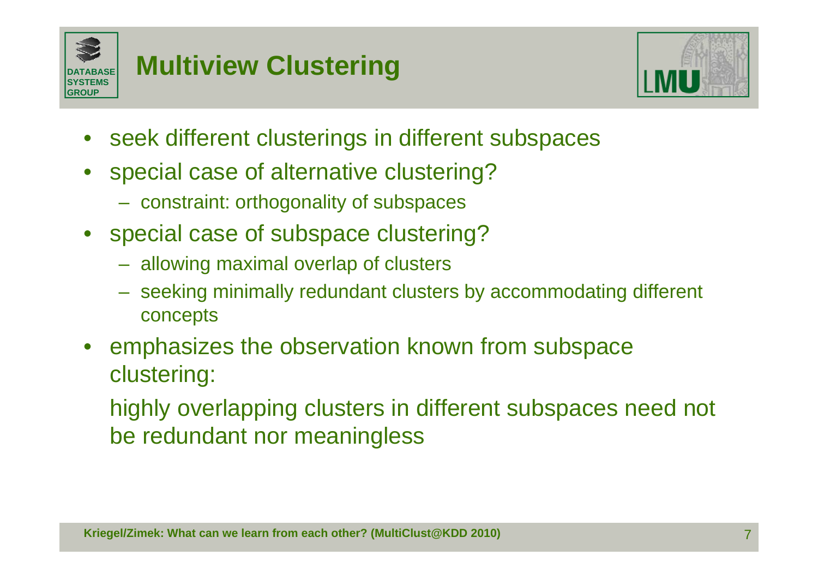

## **Multiview Clustering**



- •seek different clusterings in different subspaces
- • special case of alternative clustering?
	- constraint: orthogonality of subspaces
- special case of subspace clustering?
	- allowing maximal overlap of clusters
	- seeking minimally redundant clusters by accommodating different concepts
- •emphasizes the observation known from subspace clustering:

highly overlapping clusters in different subspaces need not be redundant nor meaningless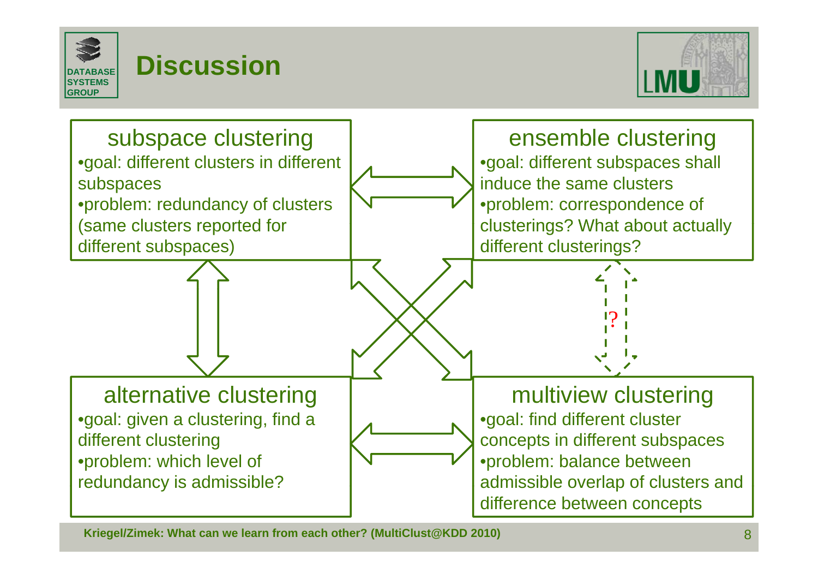